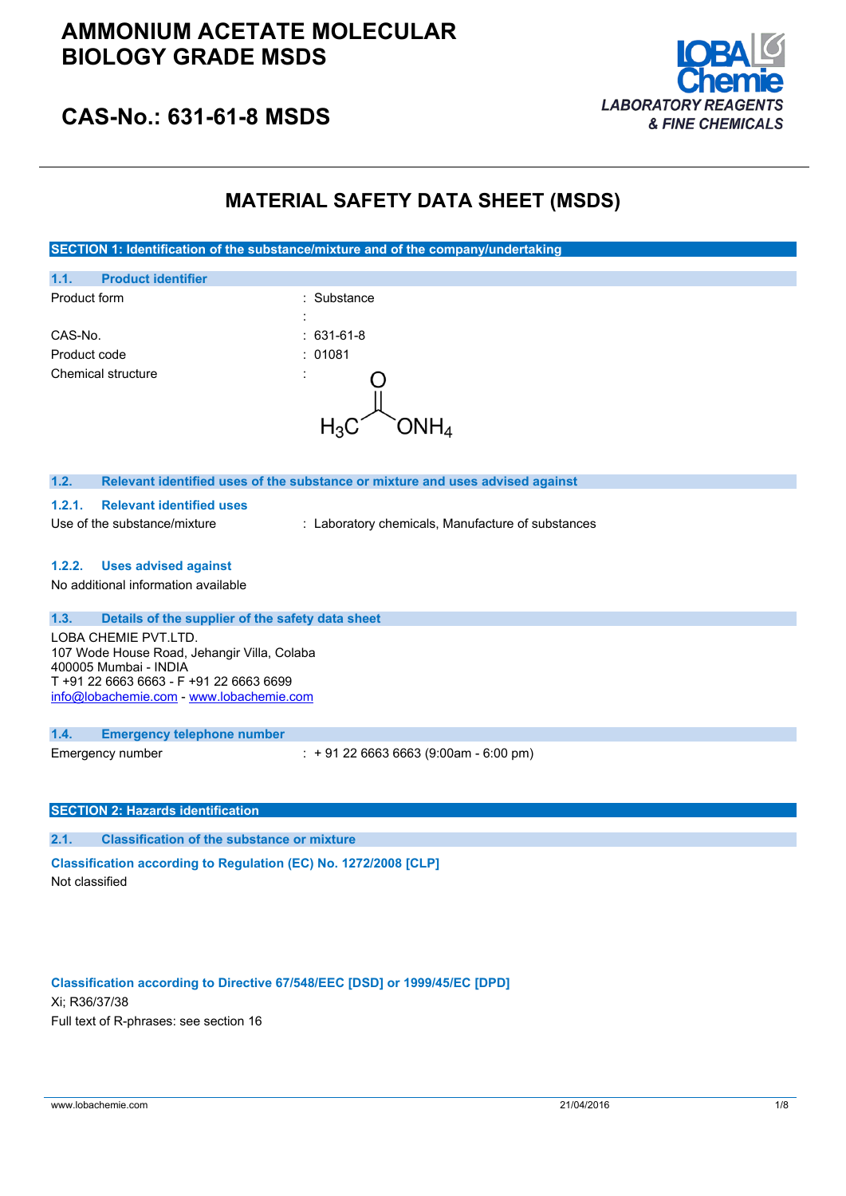

## **CAS-No.: 631-61-8 MSDS**

### **MATERIAL SAFETY DATA SHEET (MSDS)**

**SECTION 1: Identification of the substance/mixture and of the company/undertaking**

|                                                                                                                                                                                     | <b>1. INCHANGED IT OF THE SUBSTANCE INTERNATE UNIVERSITY</b><br>7011001001111 |
|-------------------------------------------------------------------------------------------------------------------------------------------------------------------------------------|-------------------------------------------------------------------------------|
| 1.1.<br><b>Product identifier</b>                                                                                                                                                   |                                                                               |
| Product form                                                                                                                                                                        | : Substance                                                                   |
|                                                                                                                                                                                     |                                                                               |
| CAS-No.                                                                                                                                                                             | 631-61-8                                                                      |
| Product code                                                                                                                                                                        | 01081                                                                         |
| Chemical structure                                                                                                                                                                  | $\mathsf{ONH}_4$                                                              |
| 1.2.                                                                                                                                                                                | Relevant identified uses of the substance or mixture and uses advised against |
| <b>Relevant identified uses</b><br>1.2.1.                                                                                                                                           |                                                                               |
| Use of the substance/mixture                                                                                                                                                        | : Laboratory chemicals, Manufacture of substances                             |
| 1.2.2.<br><b>Uses advised against</b><br>No additional information available                                                                                                        |                                                                               |
| 1.3.<br>Details of the supplier of the safety data sheet                                                                                                                            |                                                                               |
| LOBA CHEMIE PVT.LTD.<br>107 Wode House Road, Jehangir Villa, Colaba<br>400005 Mumbai - INDIA<br>T +91 22 6663 6663 - F +91 22 6663 6699<br>info@lobachemie.com - www.lobachemie.com |                                                                               |
| 1.4.<br><b>Emergency telephone number</b>                                                                                                                                           |                                                                               |
| Emergency number                                                                                                                                                                    | $: +912266636663(9:00am - 6:00 pm)$                                           |
| <b>SECTION 2: Hazards identification</b>                                                                                                                                            |                                                                               |
| 2.1.<br><b>Classification of the substance or mixture</b>                                                                                                                           |                                                                               |

**Classification according to Regulation (EC) No. 1272/2008 [CLP]** Not classified

#### **Classification according to Directive 67/548/EEC [DSD] or 1999/45/EC [DPD]**

Xi; R36/37/38 Full text of R-phrases: see section 16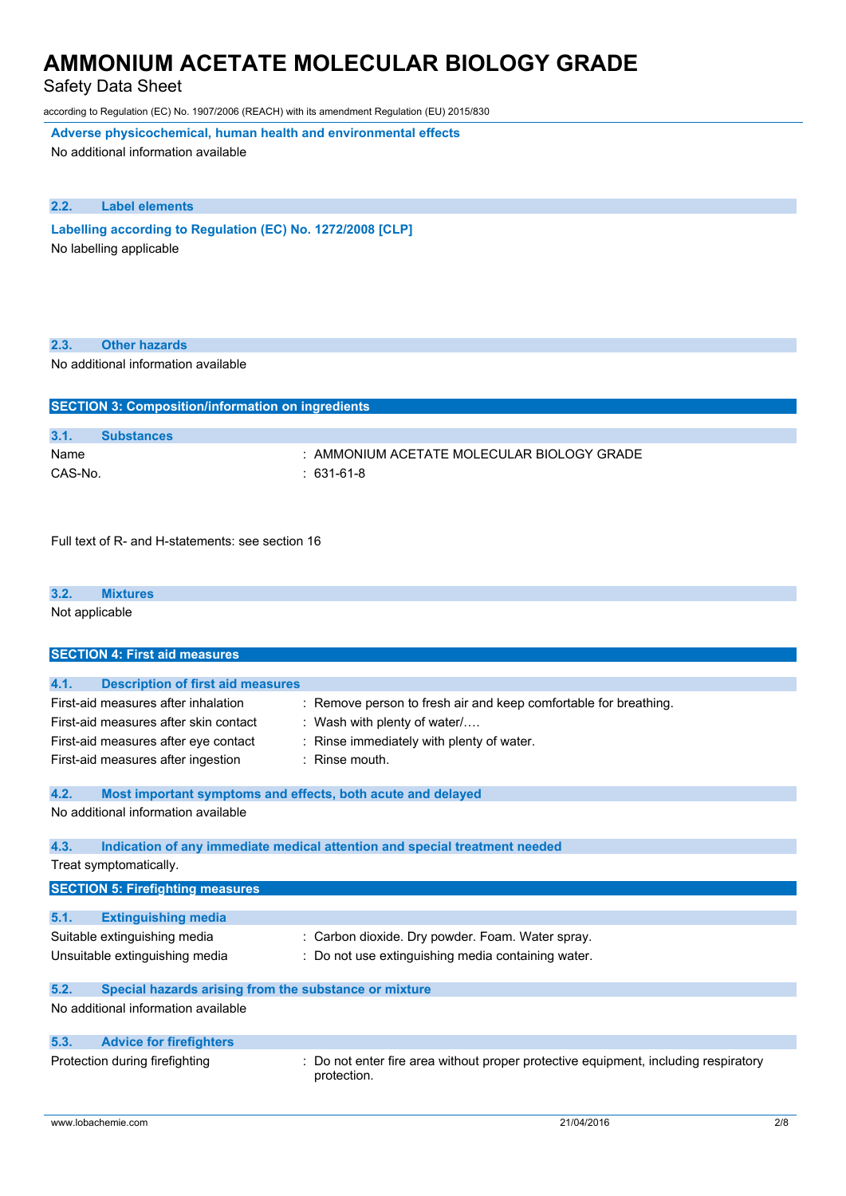Safety Data Sheet

according to Regulation (EC) No. 1907/2006 (REACH) with its amendment Regulation (EU) 2015/830

**Adverse physicochemical, human health and environmental effects**

No additional information available

#### **2.2. Label elements**

**Labelling according to** Regulation (EC) No. 1272/2008 [CLP] No labelling applicable

| 2.3. |  | <b>Other hazards</b> |
|------|--|----------------------|
|------|--|----------------------|

No additional information available

| <b>SECTION 3: Composition/information on ingredients</b> |                                                |  |
|----------------------------------------------------------|------------------------------------------------|--|
|                                                          |                                                |  |
| 3.1.                                                     | <b>Substances</b>                              |  |
| Name                                                     | $\pm$ AMMONIUM ACETATE MOLECULAR BIOLOGY GRADE |  |
| CAS-No.                                                  | $: 631-61-8$                                   |  |

Full text of R- and H-statements: see section 16

#### **3.2. Mixtures**

Not applicable

| <b>SECTION 4: First aid measures</b>                                                                                                                       |                                                                                                                                                                 |
|------------------------------------------------------------------------------------------------------------------------------------------------------------|-----------------------------------------------------------------------------------------------------------------------------------------------------------------|
|                                                                                                                                                            |                                                                                                                                                                 |
| 4.1.<br><b>Description of first aid measures</b>                                                                                                           |                                                                                                                                                                 |
| First-aid measures after inhalation<br>First-aid measures after skin contact<br>First-aid measures after eye contact<br>First-aid measures after ingestion | : Remove person to fresh air and keep comfortable for breathing.<br>: Wash with plenty of water/<br>Rinse immediately with plenty of water.<br>$:$ Rinse mouth. |
| 4.2.<br>Most important symptoms and effects, both acute and delayed                                                                                        |                                                                                                                                                                 |
| No additional information available                                                                                                                        |                                                                                                                                                                 |
| 4.3.                                                                                                                                                       | Indication of any immediate medical attention and special treatment needed                                                                                      |
| Treat symptomatically.                                                                                                                                     |                                                                                                                                                                 |
| <b>SECTION 5: Firefighting measures</b>                                                                                                                    |                                                                                                                                                                 |
|                                                                                                                                                            |                                                                                                                                                                 |
| 5.1.<br><b>Extinguishing media</b>                                                                                                                         |                                                                                                                                                                 |
| Suitable extinguishing media                                                                                                                               | : Carbon dioxide. Dry powder. Foam. Water spray.                                                                                                                |
| Unsuitable extinguishing media                                                                                                                             | : Do not use extinguishing media containing water.                                                                                                              |
| 5.2.<br>Special hazards arising from the substance or mixture                                                                                              |                                                                                                                                                                 |
| No additional information available                                                                                                                        |                                                                                                                                                                 |
| 5.3.<br><b>Advice for firefighters</b>                                                                                                                     |                                                                                                                                                                 |
| Protection during firefighting                                                                                                                             | Do not enter fire area without proper protective equipment, including respiratory<br>protection.                                                                |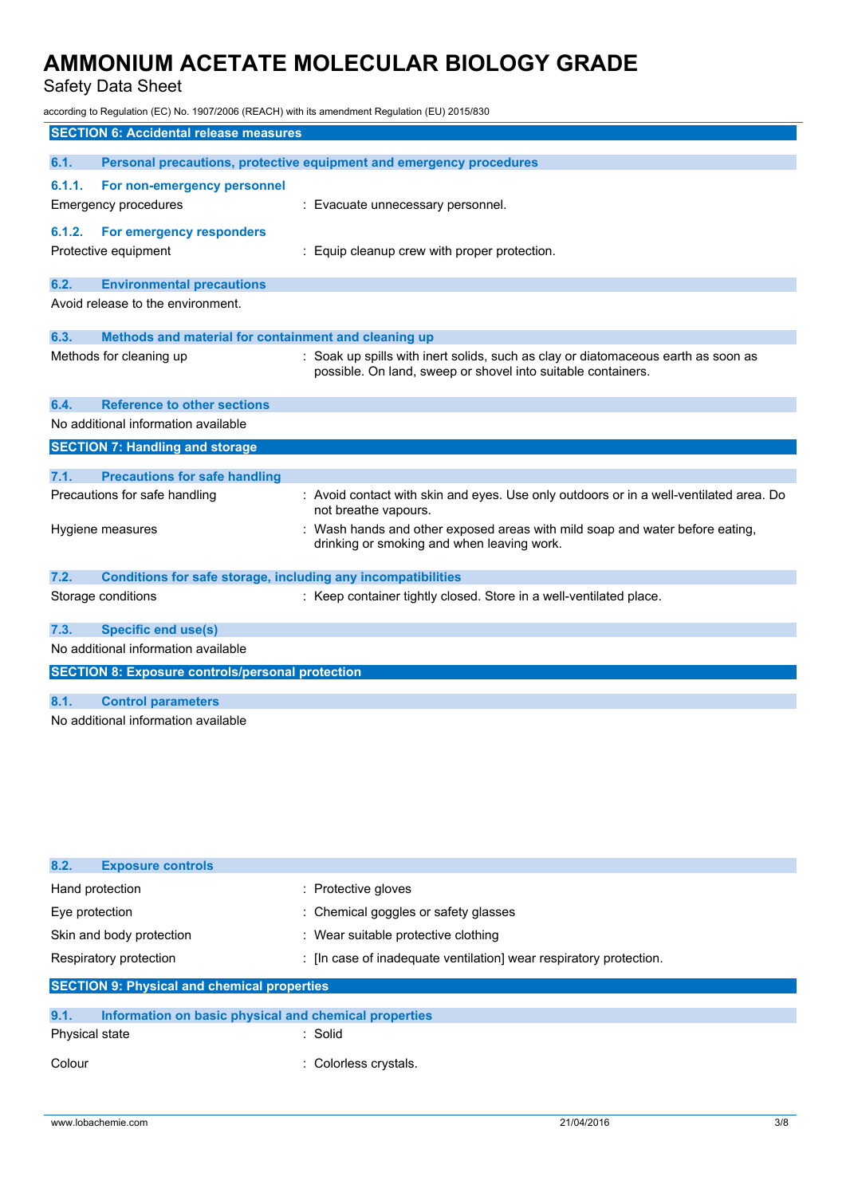Safety Data Sheet

according to Regulation (EC) No. 1907/2006 (REACH) with its amendment Regulation (EU) 2015/830

|        | <b>SECTION 6: Accidental release measures</b>                |                                                                                                                |
|--------|--------------------------------------------------------------|----------------------------------------------------------------------------------------------------------------|
|        |                                                              |                                                                                                                |
| 6.1.   |                                                              | Personal precautions, protective equipment and emergency procedures                                            |
| 6.1.1. | For non-emergency personnel                                  |                                                                                                                |
|        | Emergency procedures                                         | : Evacuate unnecessary personnel.                                                                              |
| 6.1.2. | For emergency responders                                     |                                                                                                                |
|        | Protective equipment                                         | : Equip cleanup crew with proper protection.                                                                   |
|        |                                                              |                                                                                                                |
| 6.2.   | <b>Environmental precautions</b>                             |                                                                                                                |
|        | Avoid release to the environment.                            |                                                                                                                |
|        |                                                              |                                                                                                                |
| 6.3.   | Methods and material for containment and cleaning up         |                                                                                                                |
|        | Methods for cleaning up                                      | : Soak up spills with inert solids, such as clay or diatomaceous earth as soon as                              |
|        |                                                              | possible. On land, sweep or shovel into suitable containers.                                                   |
|        |                                                              |                                                                                                                |
| 6.4.   | <b>Reference to other sections</b>                           |                                                                                                                |
|        | No additional information available                          |                                                                                                                |
|        | <b>SECTION 7: Handling and storage</b>                       |                                                                                                                |
|        |                                                              |                                                                                                                |
| 7.1.   | <b>Precautions for safe handling</b>                         |                                                                                                                |
|        | Precautions for safe handling                                | : Avoid contact with skin and eyes. Use only outdoors or in a well-ventilated area. Do<br>not breathe vapours. |
|        | Hygiene measures                                             | Wash hands and other exposed areas with mild soap and water before eating,                                     |
|        |                                                              | drinking or smoking and when leaving work.                                                                     |
|        |                                                              |                                                                                                                |
| 7.2.   | Conditions for safe storage, including any incompatibilities |                                                                                                                |
|        | Storage conditions                                           | : Keep container tightly closed. Store in a well-ventilated place.                                             |
|        |                                                              |                                                                                                                |
| 7.3.   | <b>Specific end use(s)</b>                                   |                                                                                                                |
|        | No additional information available                          |                                                                                                                |
|        | <b>SECTION 8: Exposure controls/personal protection</b>      |                                                                                                                |
|        |                                                              |                                                                                                                |
| 8.1.   | <b>Control parameters</b>                                    |                                                                                                                |
|        | No additional information available                          |                                                                                                                |

| 8.2.<br><b>Exposure controls</b>                              |                                                                  |  |
|---------------------------------------------------------------|------------------------------------------------------------------|--|
| Hand protection                                               | : Protective gloves                                              |  |
| Eye protection                                                | : Chemical goggles or safety glasses                             |  |
| Skin and body protection                                      | : Wear suitable protective clothing                              |  |
| Respiratory protection                                        | : In case of inadequate ventilation wear respiratory protection. |  |
| <b>SECTION 9: Physical and chemical properties</b>            |                                                                  |  |
|                                                               |                                                                  |  |
| 9.1.<br>Information on basic physical and chemical properties |                                                                  |  |
|                                                               |                                                                  |  |

| Physical state | : Solid |  |
|----------------|---------|--|
|                |         |  |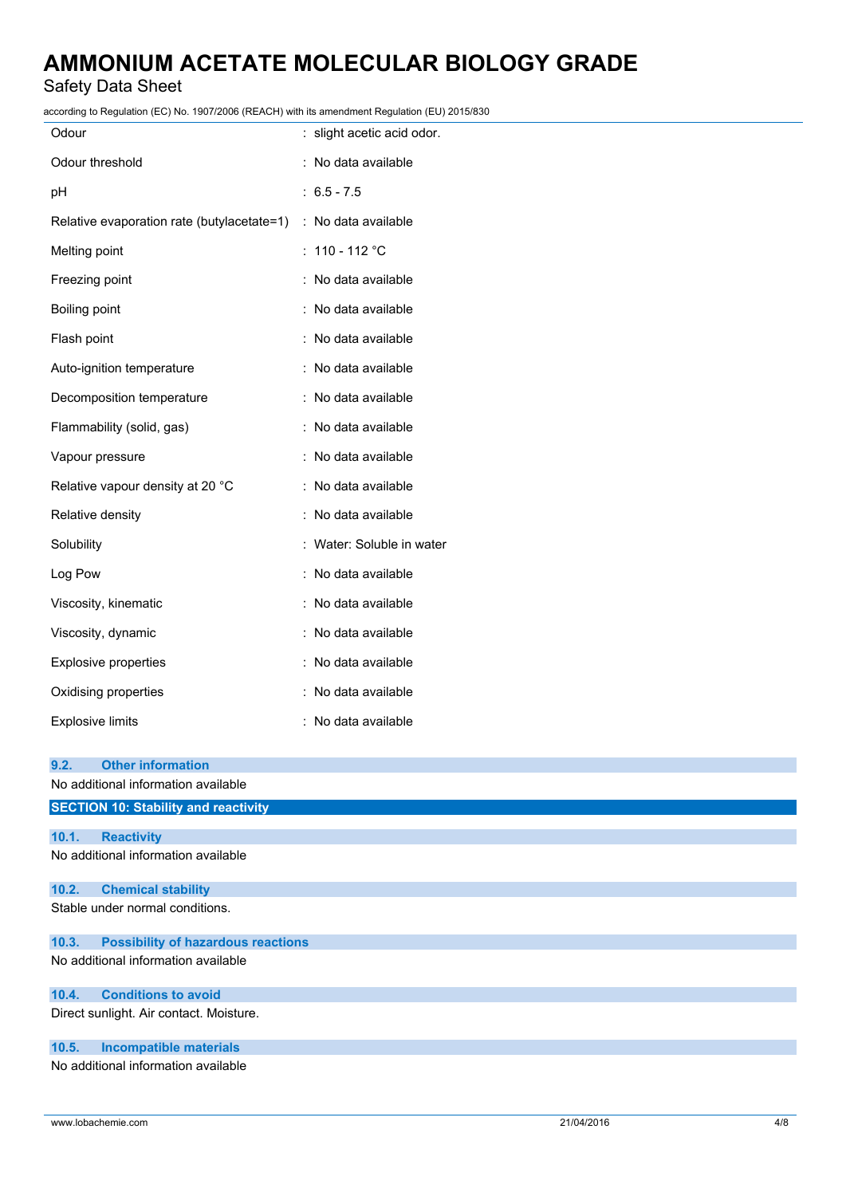Safety Data Sheet

according to Regulation (EC) No. 1907/2006 (REACH) with its amendment Regulation (EU) 2015/830

| CCORNING to Regulation (EC) NO. 1907/2006 (REACH) with its amendment Regulation (EU) 2015/630 |                            |
|-----------------------------------------------------------------------------------------------|----------------------------|
| Odour                                                                                         | : slight acetic acid odor. |
| Odour threshold                                                                               | : No data available        |
| рH                                                                                            | $: 6.5 - 7.5$              |
| Relative evaporation rate (butylacetate=1) : No data available                                |                            |
| Melting point                                                                                 | : $110 - 112$ °C           |
| Freezing point                                                                                | : No data available        |
| Boiling point                                                                                 | : No data available        |
| Flash point                                                                                   | : No data available        |
| Auto-ignition temperature                                                                     | : No data available        |
| Decomposition temperature                                                                     | : No data available        |
| Flammability (solid, gas)                                                                     | : No data available        |
| Vapour pressure                                                                               | : No data available        |
| Relative vapour density at 20 °C                                                              | : No data available        |
| Relative density                                                                              | : No data available        |
| Solubility                                                                                    | : Water: Soluble in water  |
| Log Pow                                                                                       | : No data available        |
| Viscosity, kinematic                                                                          | : No data available        |
| Viscosity, dynamic                                                                            | : No data available        |
| Explosive properties                                                                          | : No data available        |
| Oxidising properties                                                                          | : No data available        |
| <b>Explosive limits</b>                                                                       | : No data available        |
|                                                                                               |                            |
| 9.2.<br><b>Other information</b><br>No additional information available                       |                            |
| <b>SECTION 10: Stability and reactivity</b>                                                   |                            |
|                                                                                               |                            |
| <b>Reactivity</b><br>10.1.                                                                    |                            |
| No additional information available                                                           |                            |
| <b>Chemical stability</b><br>10.2.                                                            |                            |
| Stable under normal conditions.                                                               |                            |
| <b>Possibility of hazardous reactions</b><br>10.3.                                            |                            |

No additional information available

### **10.4. Conditions to avoid**

Direct sunlight. Air contact. Moisture.

### **10.5. Incompatible materials**

No additional information available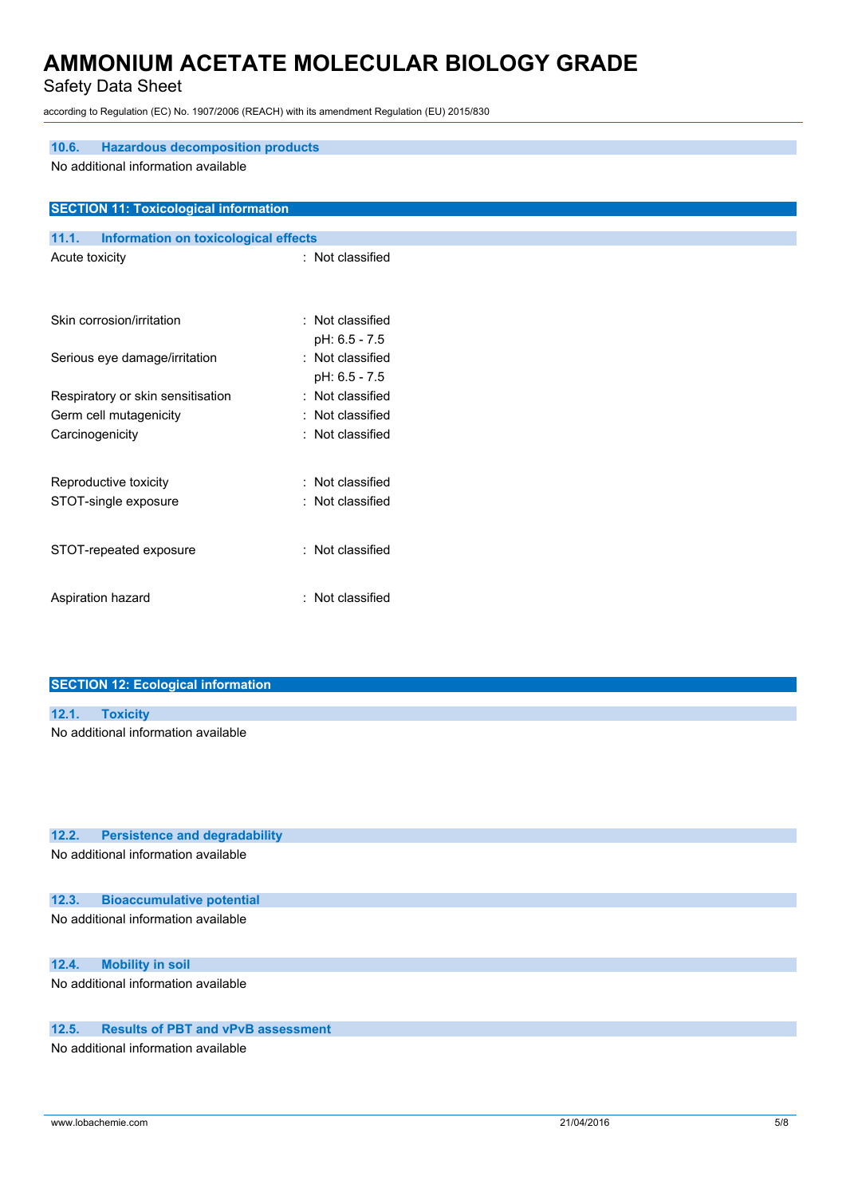Safety Data Sheet

according to Regulation (EC) No. 1907/2006 (REACH) with its amendment Regulation (EU) 2015/830

| <b>Hazardous decomposition products</b><br>10.6. |                  |  |
|--------------------------------------------------|------------------|--|
| No additional information available              |                  |  |
|                                                  |                  |  |
|                                                  |                  |  |
| <b>SECTION 11: Toxicological information</b>     |                  |  |
| Information on toxicological effects<br>11.1.    |                  |  |
| Acute toxicity                                   | : Not classified |  |
|                                                  |                  |  |
|                                                  |                  |  |
| Skin corrosion/irritation                        | : Not classified |  |
|                                                  | pH: 6.5 - 7.5    |  |
| Serious eye damage/irritation                    | : Not classified |  |
|                                                  | pH: 6.5 - 7.5    |  |
| Respiratory or skin sensitisation                | : Not classified |  |
| Germ cell mutagenicity                           | : Not classified |  |
| Carcinogenicity                                  | : Not classified |  |
|                                                  |                  |  |
|                                                  | : Not classified |  |
| Reproductive toxicity                            |                  |  |
| STOT-single exposure                             | : Not classified |  |
|                                                  |                  |  |
| STOT-repeated exposure                           | : Not classified |  |
|                                                  |                  |  |
| Aspiration hazard                                | : Not classified |  |
|                                                  |                  |  |

| <b>SECTION 12: Ecological information</b> |                                     |  |  |
|-------------------------------------------|-------------------------------------|--|--|
|                                           |                                     |  |  |
| 12.1.                                     | <b>Toxicity</b>                     |  |  |
|                                           | No additional information available |  |  |
|                                           |                                     |  |  |
|                                           |                                     |  |  |
|                                           |                                     |  |  |

No additional information available

### **12.3. Bioaccumulative potential**

No additional information available

### **12.4. Mobility in soil**

No additional information available

### **12.5. Results of PBT and vPvB assessment**

No additional information available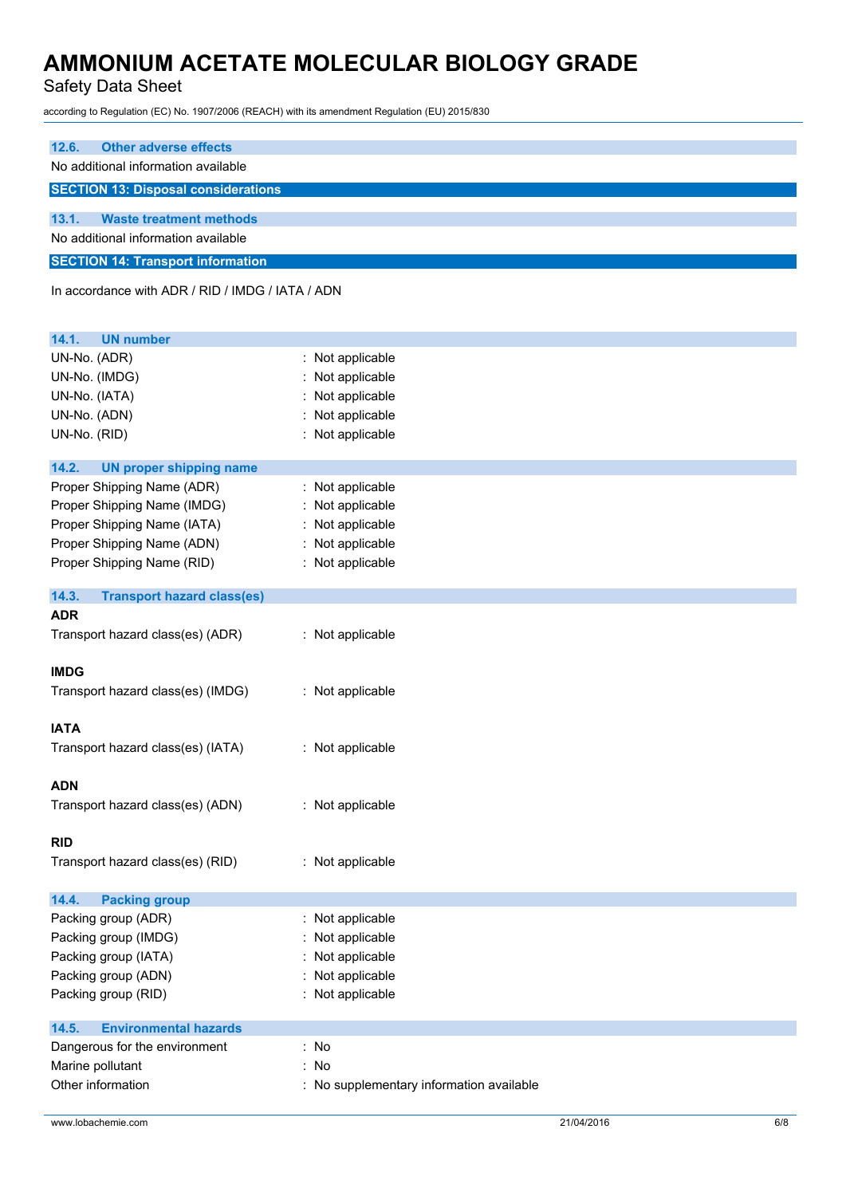Safety Data Sheet

according to Regulation (EC) No. 1907/2006 (REACH) with its amendment Regulation (EU) 2015/830

| <b>Other adverse effects</b><br>12.6.                                          |                                          |
|--------------------------------------------------------------------------------|------------------------------------------|
| No additional information available                                            |                                          |
| <b>SECTION 13: Disposal considerations</b>                                     |                                          |
|                                                                                |                                          |
| 13.1.<br><b>Waste treatment methods</b><br>No additional information available |                                          |
|                                                                                |                                          |
| <b>SECTION 14: Transport information</b>                                       |                                          |
| In accordance with ADR / RID / IMDG / IATA / ADN                               |                                          |
|                                                                                |                                          |
| 14.1.<br><b>UN number</b>                                                      |                                          |
| UN-No. (ADR)                                                                   | Not applicable                           |
| UN-No. (IMDG)                                                                  | Not applicable                           |
| UN-No. (IATA)                                                                  | Not applicable                           |
| UN-No. (ADN)                                                                   | Not applicable                           |
| UN-No. (RID)                                                                   | Not applicable                           |
|                                                                                |                                          |
| 14.2.<br><b>UN proper shipping name</b>                                        |                                          |
| Proper Shipping Name (ADR)                                                     | Not applicable                           |
| Proper Shipping Name (IMDG)                                                    | : Not applicable                         |
| Proper Shipping Name (IATA)                                                    | Not applicable                           |
| Proper Shipping Name (ADN)                                                     | Not applicable                           |
| Proper Shipping Name (RID)                                                     | : Not applicable                         |
| 14.3.<br><b>Transport hazard class(es)</b>                                     |                                          |
| <b>ADR</b>                                                                     |                                          |
| Transport hazard class(es) (ADR)                                               | : Not applicable                         |
|                                                                                |                                          |
| <b>IMDG</b>                                                                    |                                          |
| Transport hazard class(es) (IMDG)                                              | : Not applicable                         |
|                                                                                |                                          |
| <b>IATA</b>                                                                    |                                          |
| Transport hazard class(es) (IATA)                                              | : Not applicable                         |
|                                                                                |                                          |
| <b>ADN</b>                                                                     |                                          |
| Transport hazard class(es) (ADN)                                               | : Not applicable                         |
|                                                                                |                                          |
| <b>RID</b>                                                                     |                                          |
| Transport hazard class(es) (RID)                                               | : Not applicable                         |
| 14.4.<br><b>Packing group</b>                                                  |                                          |
| Packing group (ADR)                                                            | Not applicable                           |
| Packing group (IMDG)                                                           | Not applicable                           |
| Packing group (IATA)                                                           | Not applicable                           |
| Packing group (ADN)                                                            | Not applicable                           |
| Packing group (RID)                                                            | Not applicable                           |
|                                                                                |                                          |
| 14.5.<br><b>Environmental hazards</b>                                          |                                          |
| Dangerous for the environment                                                  | : No                                     |
| Marine pollutant                                                               | No                                       |
| Other information                                                              | : No supplementary information available |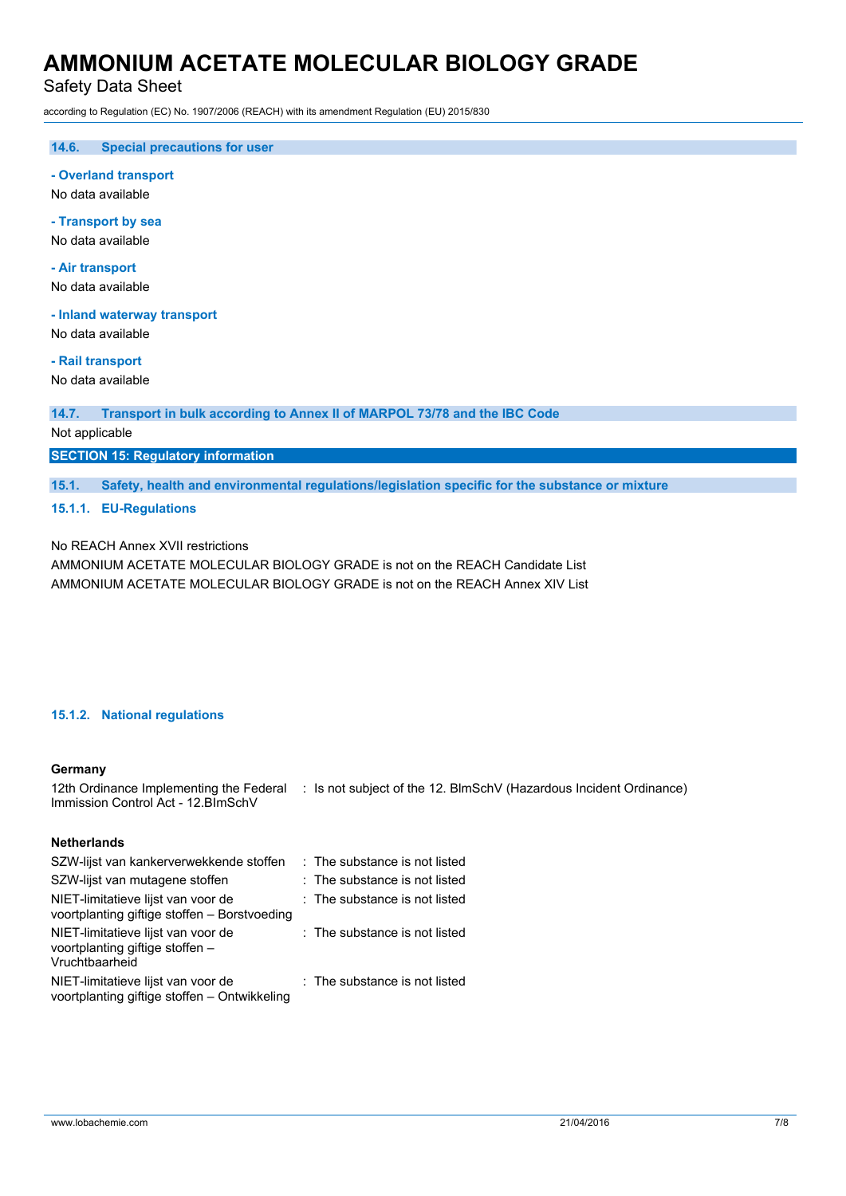Safety Data Sheet

according to Regulation (EC) No. 1907/2006 (REACH) with its amendment Regulation (EU) 2015/830

**14.6. Special precautions for user**

**- Overland transport**

No data available

**- Transport by sea** No data available

**- Air transport**

No data available

**- Inland waterway transport**

No data available

**- Rail transport**

No data available

#### **14.7. Transport in bulk according to Annex II of MARPOL 73/78 and the IBC Code**

Not applicable

**SECTION 15: Regulatory information**

**15.1. Safety, health and environmental regulations/legislation specific for the substance or mixture**

**15.1.1. EU-Regulations**

No REACH Annex XVII restrictions

AMMONIUM ACETATE MOLECULAR BIOLOGY GRADE is not on the REACH Candidate List AMMONIUM ACETATE MOLECULAR BIOLOGY GRADE is not on the REACH Annex XIV List

#### **15.1.2. National regulations**

#### **Germany**

12th Ordinance Implementing the Federal : Is not subject of the 12. BlmSchV (Hazardous Incident Ordinance) Immission Control Act - 12.BImSchV

### **Netherlands**

| SZW-lijst van kankerverwekkende stoffen                                                 | : The substance is not listed   |
|-----------------------------------------------------------------------------------------|---------------------------------|
| SZW-lijst van mutagene stoffen                                                          | $:$ The substance is not listed |
| NIET-limitatieve lijst van voor de<br>voortplanting giftige stoffen - Borstvoeding      | : The substance is not listed   |
| NIET-limitatieve lijst van voor de<br>voortplanting giftige stoffen -<br>Vruchtbaarheid | : The substance is not listed   |
| NIET-limitatieve lijst van voor de<br>voortplanting giftige stoffen - Ontwikkeling      | : The substance is not listed   |